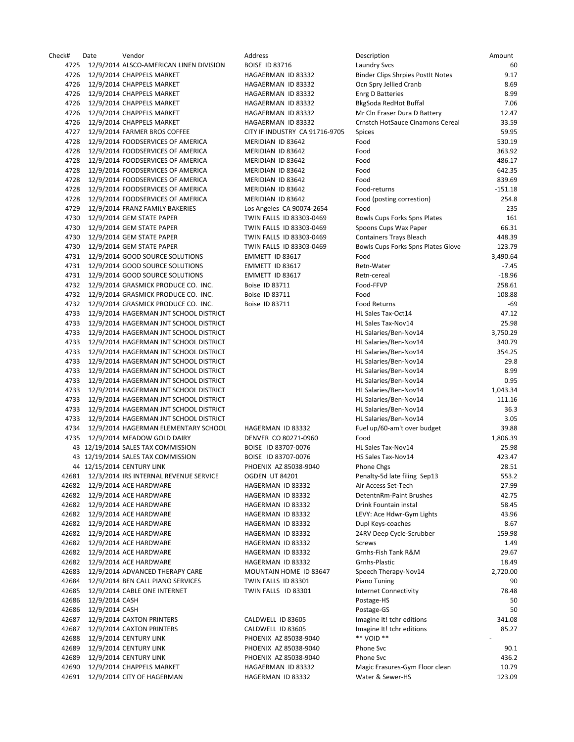Check# Date Vendor Address Description Amount 4725 12/9/2014 ALSCO-AMERICAN LINEN DIVISION BOISE ID 83716 LAUNDRY SAMERICAN LAUNDRY SVCS 600 LAUNDRY SVCS 60 4726 12/9/2014 CHAPPELS MARKET HAGAERMAN ID 83332 B 4726 12/9/2014 CHAPPELS MARKET HAGAERMAN ID 83332 C 4726 12/9/2014 CHAPPELS MARKET HAGAERMAN ID 83332 E 4726 12/9/2014 CHAPPELS MARKET HAGAERMAN ID 83332 B 4726 12/9/2014 CHAPPELS MARKET HAGAERMAN ID 83332 N 4726 12/9/2014 CHAPPELS MARKET HAGAERMAN ID 83332 C 4727 12/9/2014 FARMER BROS COFFEE CITY IF INDUSTRY CA 91716-9705 S 4728 12/9/2014 FOODSERVICES OF AMERICA MERIDIAN ID 83642 F 4728 12/9/2014 FOODSERVICES OF AMERICA MERIDIAN ID 83642 F 4728 12/9/2014 FOODSERVICES OF AMERICA MERIDIAN ID 83642 F 4728 12/9/2014 FOODSERVICES OF AMERICA MERIDIAN ID 83642 F 4728 12/9/2014 FOODSERVICES OF AMERICA MERIDIAN ID 83642 F 4728 12/9/2014 FOODSERVICES OF AMERICA MERIDIAN ID 83642 F 4728 12/9/2014 FOODSERVICES OF AMERICA MERIDIAN ID 83642 F 4729 12/9/2014 FRANZ FAMILY BAKERIES Los Angeles CA 90074-2654 F 4730 12/9/2014 GEM STATE PAPER TWIN FALLS ID 83303-0469 B 4730 12/9/2014 GEM STATE PAPER TWIN FALLS ID 83303-0469 S 4730 12/9/2014 GEM STATE PAPER TWIN FALLS ID 83303-0469 C 4730 12/9/2014 GEM STATE PAPER TWIN FALLS ID 83303-0469 B 4731 12/9/2014 GOOD SOURCE SOLUTIONS FOR THE EMMETT ID 83617 4731 12/9/2014 GOOD SOURCE SOLUTIONS EMMETT ID 83617 RETURNAL RETNER 4731 12/9/2014 GOOD SOURCE SOLUTIONS EMMETT ID 83617 RETURNAL RETNER 4732 12/9/2014 GRASMICK PRODUCE CO. INC. Boise ID 83711 FOR 258.61 4732 12/9/2014 GRASMICK PRODUCE CO. INC. Boise ID 83711 F 4732 12/9/2014 GRASMICK PRODUCE CO. INC. Boise ID 83711 FORD RETURNS FOR 4733 12/9/2014 HAGERMAN JNT SCHOOL DISTRICT **Analysis Taxabel State Taxe** H 4733 12/9/2014 HAGERMAN JNT SCHOOL DISTRICT **Have State Taxe** Here Taxes Taxes Taxes 4733 12/9/2014 HAGERMAN JNT SCHOOL DISTRICT **ALL SALARIES AND SERVER SERVER SERVER** 4733 12/9/2014 HAGERMAN JNT SCHOOL DISTRICT **All Salaries and School Association** F 4733 12/9/2014 HAGERMAN JNT SCHOOL DISTRICT **ALL SALARIES AND SERVER SCHOOL SERVERS** 4733 12/9/2014 HAGERMAN JNT SCHOOL DISTRICT **Analysis 20.84 20.94 20.94 20.94.84 20.84 20.84 20.84 20.84 20.84** 4733 12/9/2014 HAGERMAN JNT SCHOOL DISTRICT **All Salaries and School School** 4733 12/9/2014 HAGERMAN JNT SCHOOL DISTRICT **All Salaries Contained Automobiles** 4733 12/9/2014 HAGERMAN JNT SCHOOL DISTRICT **Analysis 12/9/2014** HAGERMAN JNT SCHOOL DISTRICT 4733 12/9/2014 HAGERMAN JNT SCHOOL DISTRICT **Analysis 12/9/2014** HAGERMAN JNT SCHOOL DISTRICT 4733 12/9/2014 HAGERMAN JNT SCHOOL DISTRICT **Analysis and School Services** Herman School and School Services 4733 12/9/2014 HAGERMAN INT SCHOOL DISTRICT **ALCOHOL SEEMINGS** 4734 12/9/2014 HAGERMAN ELEMENTARY SCHOOL HAGERMAN ID 83332 F 4735 12/9/2014 MEADOW GOLD DAIRY DENVER CO 80271-0960 F 43 12/19/2014 SALES TAX COMMISSION BOISE ID 83707-0076 43 12/19/2014 SALES TAX COMMISSION BOISE ID 83707‐0076 HS Sales Tax‐Nov14 423.47 44 12/15/2014 CENTURY LINK PHOENIX AZ 85038-9040 P 42681 12/3/2014 IRS INTERNAL REVENUE SERVICE OGDEN UT 84201 P 42682 12/9/2014 ACE HARDWARE **HAGERMAN ID 83332** A 42682 12/9/2014 ACE HARDWARE HAGERMAN ID 83332 42682 12/9/2014 ACE HARDWARE **HAGERMAN ID 83332** D 42682 12/9/2014 ACE HARDWARE HAGERMAN ID 83332 LEVY: Ace HARDWARE 42682 12/9/2014 ACE HARDWARE HAGERMAN ID 83332 D 42682 12/9/2014 ACE HARDWARE HAGERMAN ID 83332 247682 259.989.98 42682 12/9/2014 ACE HARDWARE HAGERMAN ID 83332 S 42682 12/9/2014 ACE HARDWARE HAGERMAN ID 83332 G 42682 12/9/2014 ACE HARDWARE HAGERMAN ID 83332 G 42683 12/9/2014 ADVANCED THERAPY CARE MOUNTAIN HOME ID 83647 Speech Therapy 42684 12/9/2014 BEN CALL PIANO SERVICES TWIN FALLS ID 83301 P 42685 12/9/2014 CABLE ONE INTERNET TWIN FALLS ID 83301 Internet Connection Connection Connection Connection Connection Connection Connection Connection Connection Connection Connection Connection Connection Connection Conn 42686 12/9/2014 CASH Postage 12/9/2014 CASH Postage 13/9/2014 CASH Postage 13/9/2014 CASH Postage 42686 12/9/2014 CASH Postage Postage Postage Postage Postage Postage Postage Postage P 42687 12/9/2014 CAXTON PRINTERS CALDWELL ID 83605 In 42687 12/9/2014 CAXTON PRINTERS CALDWELL ID 83605 In 42688 12/9/2014 CENTURY LINK PHOENIX AZ 85038-9040 \* 42689 12/9/2014 CENTURY LINK **PHOENIX AZ 85038-9040** P 42689 12/9/2014 CENTURY LINK PHOENIX AZ 85038-9040 P 42690 12/9/2014 CHAPPELS MARKET HAGAERMAN ID 83332 Magic Erasures 42691 12/9/2014 CITY OF HAGERMAN HAGERMAN ID 83332 V

| escription                                    | Amount          |
|-----------------------------------------------|-----------------|
| aundry Svcs                                   | 60              |
| inder Clips Shrpies PostIt Notes              | 9.17            |
| Cn Spry Jellied Cranb                         | 8.69            |
| nrg D Batteries                               | 8.99            |
| kgSoda RedHot Buffal                          | 7.06            |
| Ar Cln Eraser Dura D Battery                  | 12.47           |
| rnstch HotSauce Cinamons Cereal               | 33.59           |
| pices                                         | 59.95<br>530.19 |
| ood<br>ood                                    | 363.92          |
| ood                                           | 486.17          |
| ood                                           | 642.35          |
| ood                                           | 839.69          |
| ood-returns                                   | $-151.18$       |
| ood (posting correstion)                      | 254.8           |
| ood                                           | 235             |
| owls Cups Forks Spns Plates                   | 161             |
| poons Cups Wax Paper                          | 66.31           |
| ontainers Trays Bleach                        | 448.39          |
| owls Cups Forks Spns Plates Glove             | 123.79          |
| ood                                           | 3,490.64        |
| etn-Water                                     | $-7.45$         |
| etn-cereal                                    | $-18.96$        |
| ood-FFVP                                      | 258.61          |
| ood                                           | 108.88          |
| ood Returns                                   | -69             |
| L Sales Tax-Oct14                             | 47.12           |
| IL Sales Tax-Nov14                            | 25.98           |
| IL Salaries/Ben-Nov14                         | 3,750.29        |
| IL Salaries/Ben-Nov14                         | 340.79          |
| IL Salaries/Ben-Nov14                         | 354.25          |
| IL Salaries/Ben-Nov14                         | 29.8            |
| IL Salaries/Ben-Nov14                         | 8.99            |
| L Salaries/Ben-Nov14                          | 0.95            |
| IL Salaries/Ben-Nov14                         | 1,043.34        |
| IL Salaries/Ben-Nov14                         | 111.16          |
| IL Salaries/Ben-Nov14                         | 36.3            |
| IL Salaries/Ben-Nov14                         | 3.05            |
| uel up/60-am't over budget                    | 39.88           |
| ood                                           | 1,806.39        |
| IL Sales Tax-Nov14                            | 25.98           |
| S Sales Tax-Nov14                             | 423.47          |
| hone Chgs                                     | 28.51           |
| enalty-5d late filing Sep13                   | 553.2           |
| ir Access Set-Tech.<br>etentnRm-Paint Brushes | 27.99<br>42.75  |
| rink Fountain instal                          | 58.45           |
| EVY: Ace Hdwr-Gym Lights                      | 43.96           |
| upl Keys-coaches                              | 8.67            |
| 4RV Deep Cycle-Scrubber                       | 159.98          |
| crews                                         | 1.49            |
| irnhs-Fish Tank R&M                           | 29.67           |
| irnhs-Plastic                                 | 18.49           |
| peech Therapy-Nov14                           | 2,720.00        |
| iano Tuning                                   | 90              |
| nternet Connectivity                          | 78.48           |
| ostage-HS                                     | 50              |
| ostage-GS                                     | 50              |
| nagine It! tchr editions                      | 341.08          |
| nagine It! tchr editions                      | 85.27           |
| * VOID **                                     |                 |
| hone Svc                                      | 90.1            |
| hone Svc                                      | 436.2           |
| Aagic Erasures-Gym Floor clean                | 10.79           |
| Vater & Sewer-HS                              | 123.09          |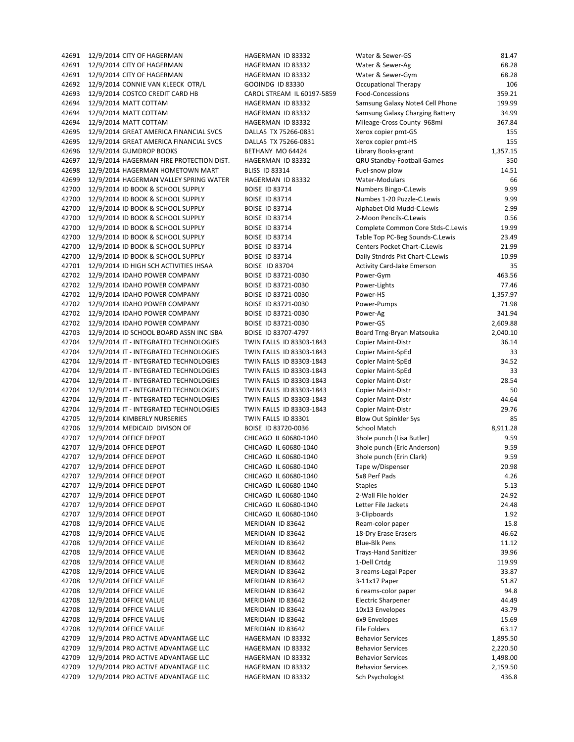42691 12/9/2014 CITY OF HAGERMAN HAGERMAN ID 83332 W 42691 12/9/2014 CITY OF HAGERMAN HAGERMAN ID 83332 WATER AND SERWER 42692 12/9/2014 CONNIE VAN KLEECK OTR/L GOOINDG ID 83330 C 42693 12/9/2014 COSTCO CREDIT CARD HB CAROL STREAM IL 60197-5859 F 42694 12/9/2014 MATT COTTAM **HAGERMAN ID 83332** S 42694 12/9/2014 MATT COTTAM **HAGERMAN ID 83332** S 42694 12/9/2014 MATT COTTAM **HAGERMAN ID 83332** M 42695 12/9/2014 GREAT AMERICA FINANCIAL SVCS DALLAS TX 75266-0831 X 42695 12/9/2014 GREAT AMERICA FINANCIAL SVCS DALLAS TX 75266-0831 X 42696 12/9/2014 GUMDROP BOOKS BETHANY MO 64424 LIBRARY BOOKS 42697 12/9/2014 HAGERMAN FIRE PROTECTION DIST. HAGERMAN ID 83332 C 42698 12/9/2014 HAGERMAN HOMETOWN MART BLISS ID 83314 FUEL 42699 12/9/2014 HAGERMAN VALLEY SPRING WATER HAGERMAN ID 83332 V 42700 12/9/2014 ID BOOK & SCHOOL SUPPLY BOISE ID 83714 Numbers 8.999.99 42700 12/9/2014 ID BOOK & SCHOOL SUPPLY BOISE ID 83714 42700 12/9/2014 ID BOOK & SCHOOL SUPPLY BOISE ID 83714 ALPHABET OLD MUDD 42700 12/9/2014 ID BOOK & SCHOOL SUPPLY BOISE ID 83714 2 42700 12/9/2014 ID BOOK & SCHOOL SUPPLY BOISE ID 83714 COMPLETE COMPLETE COMPLETE COMPLETE COMPLETE COMPLETE COMPLETE COMPLETE COMPLETE COMPLETE COMPLETE COMPLETE COMPLETE COMPLETE COMPLETE COMPLETE COMPLETE COMPLETE COMPL 42700 12/9/2014 ID BOOK & SCHOOL SUPPLY BOISE ID 83714 TABLE TOP PC 42700 12/9/2014 ID BOOK & SCHOOL SUPPLY BOISE ID 83714 C 42700 12/9/2014 ID BOOK & SCHOOL SUPPLY BOISE ID 83714 DAILY CHART 42701 12/9/2014 ID HIGH SCH ACTIVITIES IHSAA BOISE ID 83704 Activity Card Activity Card Activity Card Activity C 42702 12/9/2014 IDAHO POWER COMPANY BOISE ID 83721-0030 P 42702 12/9/2014 IDAHO POWER COMPANY BOISE ID 83721-0030 P 42702 12/9/2014 IDAHO POWER COMPANY BOISE ID 83721-0030 P 42702 12/9/2014 IDAHO POWER COMPANY BOISE ID 83721-0030 P 42702 12/9/2014 IDAHO POWER COMPANY BOISE ID 83721-0030 P 42702 12/9/2014 IDAHO POWER COMPANY BOISE ID 83721-0030 P 42703 12/9/2014 ID SCHOOL BOARD ASSN INC ISBA BOISE ID 83707-4797 B 42704 12/9/2014 IT - INTEGRATED TECHNOLOGIES TWIN FALLS ID 83303-1843 C 42704 12/9/2014 IT - INTEGRATED TECHNOLOGIES TWIN FALLS ID 83303-1843 C 42704 12/9/2014 IT - INTEGRATED TECHNOLOGIES TWIN FALLS ID 83303-1843 C 42704 12/9/2014 IT - INTEGRATED TECHNOLOGIES TWIN FALLS ID 83303-1843 C 42704 12/9/2014 IT - INTEGRATED TECHNOLOGIES TWIN FALLS ID 83303-1843 C 42704 12/9/2014 IT - INTEGRATED TECHNOLOGIES TWIN FALLS ID 83303-1843 C 42704 12/9/2014 IT - INTEGRATED TECHNOLOGIES TWIN FALLS ID 83303-1843 C 42704 12/9/2014 IT - INTEGRATED TECHNOLOGIES TWIN FALLS ID 83303-1843 C 42705 12/9/2014 KIMBERLY NURSERIES TWIN FALLS ID 83301 B 42706 12/9/2014 MEDICAID DIVISON OF BOISE ID 83720-0036 S 42707 12/9/2014 OFFICE DEPOT CHICAGO IL 60680-1040 3 42707 12/9/2014 OFFICE DEPOT CHICAGO IL 60680-1040 3 42707 12/9/2014 OFFICE DEPOT CHICAGO IL 60680-1040 3 42707 12/9/2014 OFFICE DEPOT CHICAGO IL 60680-1040 T 42707 12/9/2014 OFFICE DEPOT CHICAGO IL 60680-1040 5 42707 12/9/2014 OFFICE DEPOT CHICAGO IL 60680-1040 S 42707 12/9/2014 OFFICE DEPOT CHICAGO IL 60680-1040 2 42707 12/9/2014 OFFICE DEPOT CHICAGO IL 60680-1040 L 42707 12/9/2014 OFFICE DEPOT CHICAGO IL 60680-1040 3 42708 12/9/2014 OFFICE VALUE MERIDIAN ID 83642 R 42708 12/9/2014 OFFICE VALUE MERIDIAN ID 83642 18 42708 12/9/2014 OFFICE VALUE MERIDIAN ID 83642 Blue B 42708 12/9/2014 OFFICE VALUE MERIDIAN ID 83642 T 42708 12/9/2014 OFFICE VALUE MERIDIAN ID 83642 1 42708 12/9/2014 OFFICE VALUE MERIDIAN ID 83642 3 42708 12/9/2014 OFFICE VALUE MERIDIAN ID 83642 3 42708 12/9/2014 OFFICE VALUE MERIDIAN ID 83642 6 42708 12/9/2014 OFFICE VALUE MERIDIAN ID 83642 Electric Sharper 42.499 42708 12/9/2014 OFFICE VALUE 1 2008 MERIDIAN ID 83642 42708 12/9/2014 OFFICE VALUE 10 100 MERIDIAN ID 83642 6 42708 12/9/2014 OFFICE VALUE **Alternative State Contract Automobile File File Formation** File Formation of The F 42709 12/9/2014 PRO ACTIVE ADVANTAGE LLC HAGERMAN ID 83332 B 42709 12/9/2014 PRO ACTIVE ADVANTAGE LLC HAGERMAN ID 83332 B 42709 12/9/2014 PRO ACTIVE ADVANTAGE LLC HAGERMAN ID 83332 B 42709 12/9/2014 PRO ACTIVE ADVANTAGE LLC HAGERMAN ID 83332 B 42709 12/9/2014 PRO ACTIVE ADVANTAGE LLC HAGERMAN ID 83332 SG

42691 12/9/2014 CITY OF HAGERMAN NAGER HAGERMAN ID 83332 WATER AND SERVER SERVER STATES

| Nater & Sewer-GS                  | 81.47    |
|-----------------------------------|----------|
| Vater & Sewer-Ag                  | 68.28    |
| Nater & Sewer-Gym                 | 68.28    |
| <b>Dccupational Therapy</b>       | 106      |
| ood-Concessions                   | 359.21   |
| iamsung Galaxy Note4 Cell Phone   | 199.99   |
| Samsung Galaxy Charging Battery   | 34.99    |
| Mileage-Cross County 968mi        | 367.84   |
| (erox copier pmt-GS               | 155      |
| (erox copier pmt-HS               | 155      |
| ibrary Books-grant.               | 1,357.15 |
| <b>QRU Standby-Football Games</b> | 350      |
| uel-snow plow                     | 14.51    |
| <b>Nater-Modulars</b>             | 66       |
| <b>Numbers Bingo-C.Lewis</b>      | 9.99     |
| Numbes 1-20 Puzzle-C.Lewis        | 9.99     |
| Alphabet Old Mudd-C.Lewis         | 2.99     |
| -Moon Pencils-C.Lewis             | 0.56     |
| Complete Common Core Stds-C.Lewis | 19.99    |
| Table Top PC-Beg Sounds-C.Lewis   | 23.49    |
| Centers Pocket Chart-C.Lewis      | 21.99    |
| Daily Stndrds Pkt Chart-C.Lewis   | 10.99    |
| Activity Card-Jake Emerson        | 35       |
| ower-Gym                          | 463.56   |
| ower-Lights                       | 77.46    |
| ower-HS                           | 1,357.97 |
| ower-Pumps <sup>,</sup>           | 71.98    |
| ower-Ag                           | 341.94   |
| ower-GS                           | 2,609.88 |
| Board Trng-Bryan Matsouka         | 2,040.10 |
| Copier Maint-Distr                | 36.14    |
| Copier Maint-SpEd                 | 33       |
| Copier Maint-SpEd                 | 34.52    |
| Copier Maint-SpEd                 | 33       |
| Copier Maint-Distr                | 28.54    |
| Copier Maint-Distr                | 50       |
| Copier Maint-Distr                | 44.64    |
| Copier Maint-Distr                | 29.76    |
| Blow Out Spinkler Sys             | 85       |
| ichool Match                      | 8,911.28 |
| Bhole punch (Lisa Butler)         | 9.59     |
| Bhole punch (Eric Anderson)       | 9.59     |
| hole punch (Erin Clark)           | 9.59     |
| ape w/Dispenser                   | 20.98    |
| 5x8 Perf Pads                     | 4.26     |
| staples                           | 5.13     |
| !-Wall File holder                | 24.92    |
| etter File Jackets                | 24.48    |
| 3-Clipboards                      | 1.92     |
| Ream-color paper                  | 15.8     |
| 8-Dry Erase Erasers               | 46.62    |
| Blue-Blk Pens                     | 11.12    |
| Frays-Hand Sanitizer              | 39.96    |
| -Dell Crtdg                       | 119.99   |
| reams-Legal Paper                 | 33.87    |
| 3-11x17 Paper                     | 51.87    |
| S reams-color paper               | 94.8     |
| lectric Sharpener                 | 44.49    |
| LOx13 Envelopes                   | 43.79    |
| 5x9 Envelopes                     | 15.69    |
| ile Folders                       | 63.17    |
| Behavior Services                 | 1,895.50 |
| Behavior Services                 | 2,220.50 |
| Behavior Services                 | 1,498.00 |
| Behavior Services                 | 2,159.50 |
| ich Psychologist                  | 436.8    |
|                                   |          |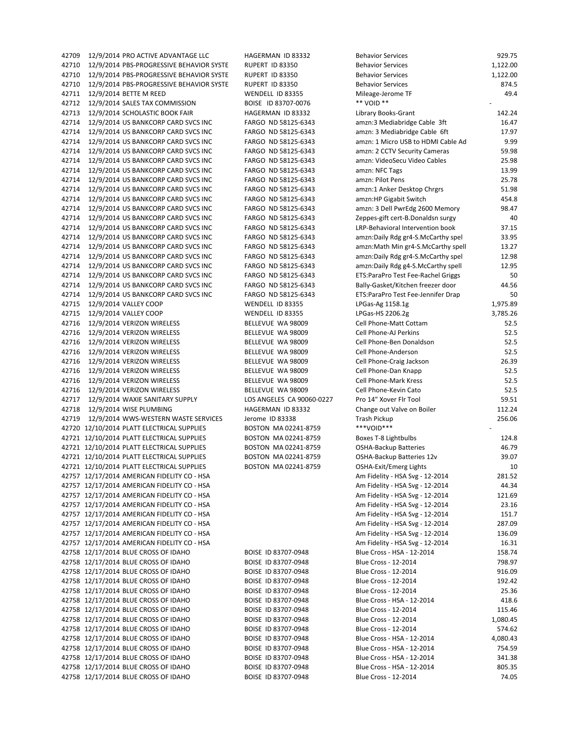42709 12/9/2014 PRO ACTIVE ADVANTAGE LLC HAGERMAN ID 83332 42710 12/9/2014 PBS-PROGRESSIVE BEHAVIOR SYSTE BUPERT ID 83350 42710 12/9/2014 PBS-PROGRESSIVE BEHAVIOR SYSTE RUPERT ID 83350 42710 12/9/2014 PBS-PROGRESSIVE BEHAVIOR SYSTE RUPERT ID 83350 42711 12/9/2014 BETTE M REED WENDELL ID 83355 42712 12/9/2014 SALES TAX COMMISSION BOISE ID 83707-0076 42713 12/9/2014 SCHOLASTIC BOOK FAIR HAGERMAN ID 83332 42714 12/9/2014 US BANKCORP CARD SVCS INC FARGO ND 58125-6343 42714 12/9/2014 US BANKCORP CARD SVCS INC FARGO ND 58125-6343 42714 12/9/2014 US BANKCORP CARD SVCS INC FARGO ND 58125-6343 42714 12/9/2014 US BANKCORP CARD SVCS INC FARGO ND 58125-6343 42714 12/9/2014 US BANKCORP CARD SVCS INC FARGO ND 58125-6343 42714 12/9/2014 US BANKCORP CARD SVCS INC FARGO ND 58125-6343 42714 12/9/2014 US BANKCORP CARD SVCS INC FARGO ND 58125-6343 42714 12/9/2014 US BANKCORP CARD SVCS INC FARGO ND 58125-6343 42714 12/9/2014 US BANKCORP CARD SVCS INC FARGO ND 58125-6343 42714 12/9/2014 US BANKCORP CARD SVCS INC FARGO ND 58125-6343 42714 12/9/2014 US BANKCORP CARD SVCS INC FARGO ND 58125-6343 42714 12/9/2014 US BANKCORP CARD SVCS INC FARGO ND 58125-6343 42714 12/9/2014 US BANKCORP CARD SVCS INC FARGO ND 58125-6343 42714 12/9/2014 US BANKCORP CARD SVCS INC FARGO ND 58125-6343 42714 12/9/2014 US BANKCORP CARD SVCS INC FARGO ND 58125-6343 42714 12/9/2014 US BANKCORP CARD SVCS INC FARGO ND 58125-6343 42714 12/9/2014 US BANKCORP CARD SVCS INC FARGO ND 58125-6343 42714 12/9/2014 US BANKCORP CARD SVCS INC FARGO ND 58125-6343 42714 12/9/2014 US BANKCORP CARD SVCS INC FARGO ND 58125-6343 42715 12/9/2014 VALLEY COOP WENDELL ID 83355 42715 12/9/2014 VALLEY COOP WENDELL ID 83355 42716 12/9/2014 VERIZON WIRELESS BELLEVUE WA 98009 42716 12/9/2014 VERIZON WIRELESS BELLEVUE WA 98009 42716 12/9/2014 VERIZON WIRELESS BELLEVUE WA 98009 42716 12/9/2014 VERIZON WIRELESS BELLEVUE WA 98009 42716 12/9/2014 VERIZON WIRELESS BELLEVUE WA 98009 42716 12/9/2014 VERIZON WIRELESS BELLEVUE WA 98009 42716 12/9/2014 VERIZON WIRELESS BELLEVUE WA 98009 42716 12/9/2014 VERIZON WIRELESS BELLEVUE WA 98009 42717 12/9/2014 WAXIE SANITARY SUPPLY LOS ANGELES CA 90060-0227 42718 12/9/2014 WISE PLUMBING HAGERMAN ID 83332 42719 12/9/2014 WWS-WESTERN WASTE SERVICES Jerome ID 83338 42720 12/10/2014 PLATT ELECTRICAL SUPPLIES BOSTON MA 02241-8759 42721 12/10/2014 PLATT ELECTRICAL SUPPLIES BOSTON MA 02241-8759 42721 12/10/2014 PLATT ELECTRICAL SUPPLIES BOSTON MA 02241-8759 42721 12/10/2014 PLATT ELECTRICAL SUPPLIES BOSTON MA 02241-8759 42721 12/10/2014 PLATT ELECTRICAL SUPPLIES BOSTON MA 02241-8759 42757 12/17/2014 AMERICAN FIDELITY CO - HSA 42757 12/17/2014 AMERICAN FIDELITY CO - HSA 42757 12/17/2014 AMERICAN FIDELITY CO - HSA 42757 12/17/2014 AMERICAN FIDELITY CO - HSA 42757 12/17/2014 AMERICAN FIDELITY CO - HSA 42757 12/17/2014 AMERICAN FIDELITY CO - HSA 42757 12/17/2014 AMERICAN FIDELITY CO - HSA 42757 12/17/2014 AMERICAN FIDELITY CO - HSA 42758 12/17/2014 BLUE CROSS OF IDAHO BOISE ID 83707-0948 42758 12/17/2014 BLUE CROSS OF IDAHO BOISE ID 83707-0948 42758 12/17/2014 BLUE CROSS OF IDAHO BOISE ID 83707-0948 42758 12/17/2014 BLUE CROSS OF IDAHO BOISE ID 83707-0948 42758 12/17/2014 BLUE CROSS OF IDAHO BOISE ID 83707-0948 42758 12/17/2014 BLUE CROSS OF IDAHO BOISE ID 83707-0948 42758 12/17/2014 BLUE CROSS OF IDAHO BOISE ID 83707-0948 42758 12/17/2014 BLUE CROSS OF IDAHO BOISE ID 83707-0948 42758 12/17/2014 BLUE CROSS OF IDAHO BOISE ID 83707-0948 42758 12/17/2014 BLUE CROSS OF IDAHO BOISE ID 83707-0948 42758 12/17/2014 BLUE CROSS OF IDAHO BOISE ID 83707-0948 42758 12/17/2014 BLUE CROSS OF IDAHO BOISE ID 83707-0948 42758 12/17/2014 BLUE CROSS OF IDAHO BOISE ID 83707-0948 42758 12/17/2014 BLUE CROSS OF IDAHO BOISE ID 83707-0948

| <b>Behavior Services</b>                                           | 929.75          |
|--------------------------------------------------------------------|-----------------|
| <b>Behavior Services</b>                                           | 1,122.00        |
| <b>Behavior Services</b>                                           | 1,122.00        |
| <b>Behavior Services</b>                                           | 874.5           |
| Mileage-Jerome TF                                                  | 49.4            |
| ** VOID **                                                         |                 |
| Library Books-Grant                                                | 142.24          |
| amzn:3 Mediabridge Cable 3ft                                       | 16.47           |
| amzn: 3 Mediabridge Cable 6ft                                      | 17.97           |
| amzn: 1 Micro USB to HDMI Cable Ad                                 | 9.99            |
| amzn: 2 CCTV Security Cameras                                      | 59.98           |
| amzn: VideoSecu Video Cables                                       | 25.98           |
| amzn: NFC Tags                                                     | 13.99           |
| amzn: Pilot Pens                                                   | 25.78           |
| amzn:1 Anker Desktop Chrgrs                                        | 51.98           |
| amzn:HP Gigabit Switch                                             | 454.8           |
| amzn: 3 Dell PwrEdg 2600 Memory                                    | 98.47           |
| Zeppes-gift cert-B.Donaldsn surgy                                  | 40              |
| LRP-Behavioral Intervention book                                   | 37.15           |
| amzn:Daily Rdg gr4-S.McCarthy spel                                 | 33.95           |
| amzn:Math Min gr4-S.McCarthy spell                                 | 13.27           |
| amzn:Daily Rdg gr4-S.McCarthy spel                                 | 12.98           |
| amzn:Daily Rdg g4-S.McCarthy spell                                 | 12.95           |
| ETS:ParaPro Test Fee-Rachel Griggs                                 | 50              |
| Bally-Gasket/Kitchen freezer door                                  | 44.56           |
| ETS:ParaPro Test Fee-Jennifer Drap                                 | 50              |
| LPGas-Ag 1158.1g                                                   | 1,975.89        |
| LPGas-HS 2206.2g                                                   | 3,785.26        |
| Cell Phone-Matt Cottam                                             | 52.5            |
| Cell Phone-AJ Perkins                                              | 52.5            |
| Cell Phone-Ben Donaldson                                           | 52.5            |
| Cell Phone-Anderson                                                | 52.5            |
| Cell Phone-Craig Jackson                                           | 26.39           |
| Cell Phone-Dan Knapp                                               | 52.5            |
| Cell Phone-Mark Kress                                              | 52.5            |
| Cell Phone-Kevin Cato                                              | 52.5            |
| Pro 14" Xover Flr Tool                                             | 59.51           |
| Change out Valve on Boiler                                         | 112.24          |
| Trash Pickup<br>***VOID***                                         | 256.06          |
|                                                                    |                 |
| Boxes T-8 Lightbulbs                                               | 124.8<br>46.79  |
| <b>OSHA-Backup Batteries</b>                                       |                 |
| OSHA-Backup Batteries 12v<br>OSHA-Exit/Emerg Lights                | 39.07<br>10     |
|                                                                    |                 |
| Am Fidelity - HSA Svg - 12-2014<br>Am Fidelity - HSA Svg - 12-2014 | 281.52<br>44.34 |
| Am Fidelity - HSA Svg - 12-2014                                    | 121.69          |
| Am Fidelity - HSA Svg - 12-2014                                    | 23.16           |
| Am Fidelity - HSA Svg - 12-2014                                    | 151.7           |
| Am Fidelity - HSA Svg - 12-2014                                    | 287.09          |
| Am Fidelity - HSA Svg - 12-2014                                    | 136.09          |
| Am Fidelity - HSA Svg - 12-2014                                    | 16.31           |
| Blue Cross - HSA - 12-2014                                         | 158.74          |
| Blue Cross - 12-2014                                               | 798.97          |
| Blue Cross - 12-2014                                               | 916.09          |
| Blue Cross - 12-2014                                               | 192.42          |
| Blue Cross - 12-2014                                               | 25.36           |
| Blue Cross - HSA - 12-2014                                         | 418.6           |
| Blue Cross - 12-2014                                               | 115.46          |
| Blue Cross - 12-2014                                               | 1,080.45        |
| Blue Cross - 12-2014                                               | 574.62          |
| Blue Cross - HSA - 12-2014                                         | 4,080.43        |
| Blue Cross - HSA - 12-2014                                         | 754.59          |
| Blue Cross - HSA - 12-2014                                         | 341.38          |
| Blue Cross - HSA - 12-2014                                         | 805.35          |
| Blue Cross - 12-2014                                               | 74.05           |
|                                                                    |                 |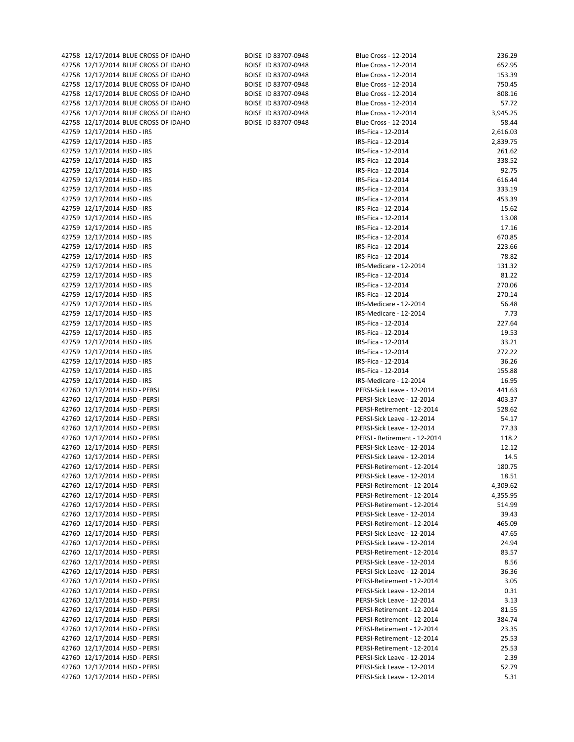| 42758 12/17/2014 BLUE CROSS OF IDAHO | BOISE ID 83707-0948 | Blue Cross - 12-2014         | 236.29   |
|--------------------------------------|---------------------|------------------------------|----------|
| 42758 12/17/2014 BLUE CROSS OF IDAHO | BOISE ID 83707-0948 | Blue Cross - 12-2014         | 652.95   |
| 42758 12/17/2014 BLUE CROSS OF IDAHO | BOISE ID 83707-0948 | Blue Cross - 12-2014         | 153.39   |
| 42758 12/17/2014 BLUE CROSS OF IDAHO | BOISE ID 83707-0948 | Blue Cross - 12-2014         | 750.45   |
|                                      |                     |                              |          |
| 42758 12/17/2014 BLUE CROSS OF IDAHO | BOISE ID 83707-0948 | Blue Cross - 12-2014         | 808.16   |
| 42758 12/17/2014 BLUE CROSS OF IDAHO | BOISE ID 83707-0948 | Blue Cross - 12-2014         | 57.72    |
| 42758 12/17/2014 BLUE CROSS OF IDAHO | BOISE ID 83707-0948 | Blue Cross - 12-2014         | 3,945.25 |
| 42758 12/17/2014 BLUE CROSS OF IDAHO | BOISE ID 83707-0948 | Blue Cross - 12-2014         | 58.44    |
| 42759 12/17/2014 HJSD - IRS          |                     | IRS-Fica - 12-2014           | 2,616.03 |
|                                      |                     |                              | 2,839.75 |
| 42759 12/17/2014 HJSD - IRS          |                     | IRS-Fica - 12-2014           |          |
| 42759 12/17/2014 HJSD - IRS          |                     | IRS-Fica - 12-2014           | 261.62   |
| 42759 12/17/2014 HJSD - IRS          |                     | IRS-Fica - 12-2014           | 338.52   |
| 42759 12/17/2014 HJSD - IRS          |                     | IRS-Fica - 12-2014           | 92.75    |
| 42759 12/17/2014 HJSD - IRS          |                     | IRS-Fica - 12-2014           | 616.44   |
| 42759 12/17/2014 HJSD - IRS          |                     | IRS-Fica - 12-2014           | 333.19   |
|                                      |                     |                              | 453.39   |
| 42759 12/17/2014 HJSD - IRS          |                     | IRS-Fica - 12-2014           |          |
| 42759 12/17/2014 HJSD - IRS          |                     | IRS-Fica - 12-2014           | 15.62    |
| 42759 12/17/2014 HJSD - IRS          |                     | IRS-Fica - 12-2014           | 13.08    |
| 42759 12/17/2014 HJSD - IRS          |                     | IRS-Fica - 12-2014           | 17.16    |
| 42759 12/17/2014 HJSD - IRS          |                     | IRS-Fica - 12-2014           | 670.85   |
| 42759 12/17/2014 HJSD - IRS          |                     | IRS-Fica - 12-2014           | 223.66   |
|                                      |                     |                              | 78.82    |
| 42759 12/17/2014 HJSD - IRS          |                     | IRS-Fica - 12-2014           |          |
| 42759 12/17/2014 HJSD - IRS          |                     | IRS-Medicare - 12-2014       | 131.32   |
| 42759 12/17/2014 HJSD - IRS          |                     | IRS-Fica - 12-2014           | 81.22    |
| 42759 12/17/2014 HJSD - IRS          |                     | IRS-Fica - 12-2014           | 270.06   |
| 42759 12/17/2014 HJSD - IRS          |                     | IRS-Fica - 12-2014           | 270.14   |
| 42759 12/17/2014 HJSD - IRS          |                     | IRS-Medicare - 12-2014       | 56.48    |
|                                      |                     |                              |          |
| 42759 12/17/2014 HJSD - IRS          |                     | IRS-Medicare - 12-2014       | 7.73     |
| 42759 12/17/2014 HJSD - IRS          |                     | IRS-Fica - 12-2014           | 227.64   |
| 42759 12/17/2014 HJSD - IRS          |                     | IRS-Fica - 12-2014           | 19.53    |
| 42759 12/17/2014 HJSD - IRS          |                     | IRS-Fica - 12-2014           | 33.21    |
| 42759 12/17/2014 HJSD - IRS          |                     | IRS-Fica - 12-2014           | 272.22   |
| 42759 12/17/2014 HJSD - IRS          |                     | IRS-Fica - 12-2014           | 36.26    |
|                                      |                     |                              |          |
| 42759 12/17/2014 HJSD - IRS          |                     | IRS-Fica - 12-2014           | 155.88   |
| 42759 12/17/2014 HJSD - IRS          |                     | IRS-Medicare - 12-2014       | 16.95    |
| 42760 12/17/2014 HJSD - PERSI        |                     | PERSI-Sick Leave - 12-2014   | 441.63   |
| 42760 12/17/2014 HJSD - PERSI        |                     | PERSI-Sick Leave - 12-2014   | 403.37   |
| 42760 12/17/2014 HJSD - PERSI        |                     | PERSI-Retirement - 12-2014   | 528.62   |
| 42760 12/17/2014 HJSD - PERSI        |                     | PERSI-Sick Leave - 12-2014   | 54.17    |
|                                      |                     |                              |          |
| 42760 12/17/2014 HJSD - PERSI        |                     | PERSI-Sick Leave - 12-2014   | 77.33    |
| 42760 12/17/2014 HJSD - PERSI        |                     | PERSI - Retirement - 12-2014 | 118.2    |
| 42760 12/17/2014 HJSD - PERSI        |                     | PERSI-Sick Leave - 12-2014   | 12.12    |
| 42760 12/17/2014 HJSD - PERSI        |                     | PERSI-Sick Leave - 12-2014   | 14.5     |
| 42760 12/17/2014 HJSD - PERSI        |                     | PERSI-Retirement - 12-2014   | 180.75   |
|                                      |                     |                              |          |
| 42760 12/17/2014 HJSD - PERSI        |                     | PERSI-Sick Leave - 12-2014   | 18.51    |
| 42760 12/17/2014 HJSD - PERSI        |                     | PERSI-Retirement - 12-2014   | 4,309.62 |
| 42760 12/17/2014 HJSD - PERSI        |                     | PERSI-Retirement - 12-2014   | 4,355.95 |
| 42760 12/17/2014 HJSD - PERSI        |                     | PERSI-Retirement - 12-2014   | 514.99   |
| 42760 12/17/2014 HJSD - PERSI        |                     | PERSI-Sick Leave - 12-2014   | 39.43    |
| 42760 12/17/2014 HJSD - PERSI        |                     | PERSI-Retirement - 12-2014   | 465.09   |
|                                      |                     |                              |          |
| 42760 12/17/2014 HJSD - PERSI        |                     | PERSI-Sick Leave - 12-2014   | 47.65    |
| 42760 12/17/2014 HJSD - PERSI        |                     | PERSI-Sick Leave - 12-2014   | 24.94    |
| 42760 12/17/2014 HJSD - PERSI        |                     | PERSI-Retirement - 12-2014   | 83.57    |
| 42760 12/17/2014 HJSD - PERSI        |                     | PERSI-Sick Leave - 12-2014   | 8.56     |
| 42760 12/17/2014 HJSD - PERSI        |                     | PERSI-Sick Leave - 12-2014   | 36.36    |
| 42760 12/17/2014 HJSD - PERSI        |                     | PERSI-Retirement - 12-2014   | 3.05     |
|                                      |                     |                              |          |
| 42760 12/17/2014 HJSD - PERSI        |                     | PERSI-Sick Leave - 12-2014   | 0.31     |
| 42760 12/17/2014 HJSD - PERSI        |                     | PERSI-Sick Leave - 12-2014   | 3.13     |
| 42760 12/17/2014 HJSD - PERSI        |                     | PERSI-Retirement - 12-2014   | 81.55    |
| 42760 12/17/2014 HJSD - PERSI        |                     | PERSI-Retirement - 12-2014   | 384.74   |
| 42760 12/17/2014 HJSD - PERSI        |                     | PERSI-Retirement - 12-2014   | 23.35    |
| 42760 12/17/2014 HJSD - PERSI        |                     | PERSI-Retirement - 12-2014   | 25.53    |
|                                      |                     |                              |          |
| 42760 12/17/2014 HJSD - PERSI        |                     | PERSI-Retirement - 12-2014   | 25.53    |
| 42760 12/17/2014 HJSD - PERSI        |                     | PERSI-Sick Leave - 12-2014   | 2.39     |
| 42760 12/17/2014 HJSD - PERSI        |                     | PERSI-Sick Leave - 12-2014   | 52.79    |
| 42760 12/17/2014 HJSD - PERSI        |                     | PERSI-Sick Leave - 12-2014   | 5.31     |
|                                      |                     |                              |          |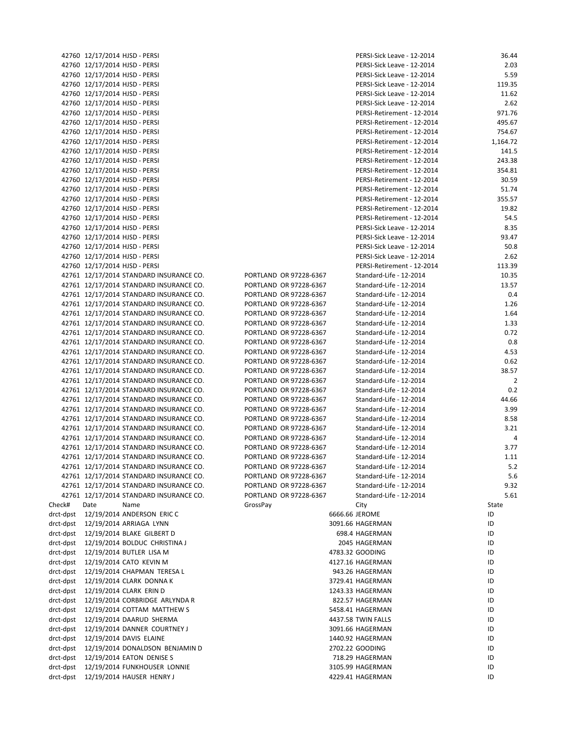|           | 42760 12/17/2014 HJSD - PERSI |                                           |                        | PERSI-Sick Leave - 12-2014 | 36.44          |
|-----------|-------------------------------|-------------------------------------------|------------------------|----------------------------|----------------|
|           |                               | 42760 12/17/2014 HJSD - PERSI             |                        | PERSI-Sick Leave - 12-2014 | 2.03           |
|           |                               | 42760 12/17/2014 HJSD - PERSI             |                        | PERSI-Sick Leave - 12-2014 | 5.59           |
|           |                               | 42760 12/17/2014 HJSD - PERSI             |                        | PERSI-Sick Leave - 12-2014 | 119.35         |
|           |                               | 42760 12/17/2014 HJSD - PERSI             |                        | PERSI-Sick Leave - 12-2014 | 11.62          |
|           |                               | 42760 12/17/2014 HJSD - PERSI             |                        | PERSI-Sick Leave - 12-2014 | 2.62           |
|           |                               | 42760 12/17/2014 HJSD - PERSI             |                        | PERSI-Retirement - 12-2014 | 971.76         |
|           |                               | 42760 12/17/2014 HJSD - PERSI             |                        | PERSI-Retirement - 12-2014 | 495.67         |
|           |                               | 42760 12/17/2014 HJSD - PERSI             |                        | PERSI-Retirement - 12-2014 | 754.67         |
|           |                               | 42760 12/17/2014 HJSD - PERSI             |                        | PERSI-Retirement - 12-2014 | 1,164.72       |
|           |                               |                                           |                        | PERSI-Retirement - 12-2014 | 141.5          |
|           |                               | 42760 12/17/2014 HJSD - PERSI             |                        | PERSI-Retirement - 12-2014 |                |
|           |                               | 42760 12/17/2014 HJSD - PERSI             |                        |                            | 243.38         |
|           |                               | 42760 12/17/2014 HJSD - PERSI             |                        | PERSI-Retirement - 12-2014 | 354.81         |
|           |                               | 42760 12/17/2014 HJSD - PERSI             |                        | PERSI-Retirement - 12-2014 | 30.59<br>51.74 |
|           |                               | 42760 12/17/2014 HJSD - PERSI             |                        | PERSI-Retirement - 12-2014 |                |
|           |                               | 42760 12/17/2014 HJSD - PERSI             |                        | PERSI-Retirement - 12-2014 | 355.57         |
|           |                               | 42760 12/17/2014 HJSD - PERSI             |                        | PERSI-Retirement - 12-2014 | 19.82          |
|           |                               | 42760 12/17/2014 HJSD - PERSI             |                        | PERSI-Retirement - 12-2014 | 54.5           |
|           |                               | 42760 12/17/2014 HJSD - PERSI             |                        | PERSI-Sick Leave - 12-2014 | 8.35           |
|           |                               | 42760 12/17/2014 HJSD - PERSI             |                        | PERSI-Sick Leave - 12-2014 | 93.47          |
|           |                               | 42760 12/17/2014 HJSD - PERSI             |                        | PERSI-Sick Leave - 12-2014 | 50.8           |
|           |                               | 42760 12/17/2014 HJSD - PERSI             |                        | PERSI-Sick Leave - 12-2014 | 2.62           |
|           |                               | 42760 12/17/2014 HJSD - PERSI             |                        | PERSI-Retirement - 12-2014 | 113.39         |
|           |                               | 42761 12/17/2014 STANDARD INSURANCE CO.   | PORTLAND OR 97228-6367 | Standard-Life - 12-2014    | 10.35          |
|           |                               | 42761 12/17/2014 STANDARD INSURANCE CO.   | PORTLAND OR 97228-6367 | Standard-Life - 12-2014    | 13.57          |
|           |                               | 42761 12/17/2014 STANDARD INSURANCE CO.   | PORTLAND OR 97228-6367 | Standard-Life - 12-2014    | 0.4            |
|           |                               | 42761 12/17/2014 STANDARD INSURANCE CO.   | PORTLAND OR 97228-6367 | Standard-Life - 12-2014    | 1.26           |
|           |                               | 42761 12/17/2014 STANDARD INSURANCE CO.   | PORTLAND OR 97228-6367 | Standard-Life - 12-2014    | 1.64           |
|           |                               | 42761 12/17/2014 STANDARD INSURANCE CO.   | PORTLAND OR 97228-6367 | Standard-Life - 12-2014    | 1.33           |
|           |                               | 42761 12/17/2014 STANDARD INSURANCE CO.   | PORTLAND OR 97228-6367 | Standard-Life - 12-2014    | 0.72           |
|           |                               | 42761 12/17/2014 STANDARD INSURANCE CO.   | PORTLAND OR 97228-6367 | Standard-Life - 12-2014    | 0.8            |
|           |                               | 42761 12/17/2014 STANDARD INSURANCE CO.   | PORTLAND OR 97228-6367 | Standard-Life - 12-2014    | 4.53           |
|           |                               | 42761 12/17/2014 STANDARD INSURANCE CO.   | PORTLAND OR 97228-6367 | Standard-Life - 12-2014    | 0.62           |
|           |                               | 42761 12/17/2014 STANDARD INSURANCE CO.   | PORTLAND OR 97228-6367 | Standard-Life - 12-2014    | 38.57          |
|           |                               | 42761 12/17/2014 STANDARD INSURANCE CO.   | PORTLAND OR 97228-6367 | Standard-Life - 12-2014    | $\overline{2}$ |
|           |                               | 42761 12/17/2014 STANDARD INSURANCE CO.   | PORTLAND OR 97228-6367 | Standard-Life - 12-2014    | 0.2            |
|           |                               | 42761 12/17/2014 STANDARD INSURANCE CO.   | PORTLAND OR 97228-6367 | Standard-Life - 12-2014    | 44.66          |
|           |                               | 42761 12/17/2014 STANDARD INSURANCE CO.   | PORTLAND OR 97228-6367 | Standard-Life - 12-2014    | 3.99           |
|           |                               | 42761 12/17/2014 STANDARD INSURANCE CO.   | PORTLAND OR 97228-6367 | Standard-Life - 12-2014    | 8.58           |
|           |                               | 42761 12/17/2014 STANDARD INSURANCE CO.   | PORTLAND OR 97228-6367 | Standard-Life - 12-2014    | 3.21           |
|           |                               | 42761 12/17/2014 STANDARD INSURANCE CO.   | PORTLAND OR 97228-6367 | Standard-Life - 12-2014    | 4              |
|           |                               | 42761 12/17/2014 STANDARD INSURANCE CO.   | PORTLAND OR 97228-6367 | Standard-Life - 12-2014    | 3.77           |
|           |                               | 42761 12/17/2014 STANDARD INSURANCE CO.   | PORTLAND OR 97228-6367 | Standard-Life - 12-2014    | 1.11           |
|           |                               | 42761 12/17/2014 STANDARD INSURANCE CO.   | PORTLAND OR 97228-6367 | Standard-Life - 12-2014    | 5.2            |
|           |                               | 42761 12/17/2014 STANDARD INSURANCE CO.   | PORTLAND OR 97228-6367 | Standard-Life - 12-2014    | 5.6            |
|           |                               | 42761 12/17/2014 STANDARD INSURANCE CO.   | PORTLAND OR 97228-6367 | Standard-Life - 12-2014    | 9.32           |
|           |                               | 42761 12/17/2014 STANDARD INSURANCE CO.   | PORTLAND OR 97228-6367 | Standard-Life - 12-2014    | 5.61           |
| Check#    | Date                          | Name                                      | GrossPay               | City                       | State          |
| drct-dpst |                               | 12/19/2014 ANDERSON ERIC C                |                        | 6666.66 JEROME             | ID             |
| drct-dpst |                               | 12/19/2014 ARRIAGA LYNN                   |                        | 3091.66 HAGERMAN           | ID             |
|           |                               | drct-dpst 12/19/2014 BLAKE GILBERT D      |                        | 698.4 HAGERMAN             | ID             |
|           |                               | drct-dpst  12/19/2014 BOLDUC CHRISTINA J  |                        | 2045 HAGERMAN              | ID             |
|           |                               | drct-dpst 12/19/2014 BUTLER LISA M        |                        | 4783.32 GOODING            | ID             |
|           |                               | drct-dpst 12/19/2014 CATO KEVIN M         |                        | 4127.16 HAGERMAN           | ID             |
| drct-dpst |                               | 12/19/2014 CHAPMAN TERESA L               |                        | 943.26 HAGERMAN            | ID             |
| drct-dpst |                               | 12/19/2014 CLARK DONNA K                  |                        | 3729.41 HAGERMAN           | ID             |
|           |                               | drct-dpst     12/19/2014 CLARK  ERIN D    |                        | 1243.33 HAGERMAN           | ID             |
| drct-dpst |                               | 12/19/2014 CORBRIDGE ARLYNDA R            |                        | 822.57 HAGERMAN            | ID             |
| drct-dpst |                               | 12/19/2014 COTTAM MATTHEW S               |                        | 5458.41 HAGERMAN           | ID             |
| drct-dpst |                               | 12/19/2014 DAARUD SHERMA                  |                        | 4437.58 TWIN FALLS         | ID             |
| drct-dpst |                               | 12/19/2014 DANNER COURTNEY J              |                        | 3091.66 HAGERMAN           | ID             |
| drct-dpst |                               | 12/19/2014 DAVIS ELAINE                   |                        | 1440.92 HAGERMAN           | ID             |
|           |                               | drct-dpst 12/19/2014 DONALDSON BENJAMIN D |                        | 2702.22 GOODING            | ID             |
| drct-dpst |                               | 12/19/2014 EATON DENISE S                 |                        | 718.29 HAGERMAN            | ID             |
| drct-dpst |                               | 12/19/2014 FUNKHOUSER LONNIE              |                        | 3105.99 HAGERMAN           | ID             |
|           |                               | drct-dpst     12/19/2014 HAUSER HENRY J   |                        | 4229.41 HAGERMAN           | ID             |
|           |                               |                                           |                        |                            |                |